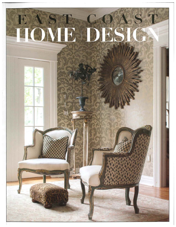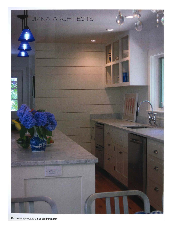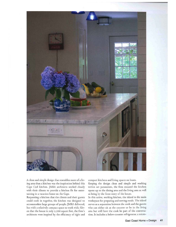

A clean and simple design that resembles more of a living area than a kicchen was rhe inspiration behind rhis Cape Cod kitchen. JMKA archirects worked closely with their clients to provide a kitchen fit for entertaining in a vacation home on the Cape.

Requesting a kitchen that the clients and their guests could cook in cogecher, the kitchen was designed co accommodate large groups of people. JMKA delivered, but with a relatively compact space to work with. Given that the house is only 2,200 square feet, the firm's architects were inspired by the efficiency of tight and

compact kicchens and living spaces *on* boats.

Keeping the design dean and simple and working within ser parameters, the firm ensured the kitchen opens up co the dining area and che living area as well as being by the front entry of the house.

In chis active, working kitchen, the island is che main workspace for preparing and serving meals. The island serves as a separation between the cook and the guests who can either sit at the counter or be in the living area but still have the cook be part of the conversation. It includes a below-counter refrigerator, a micro-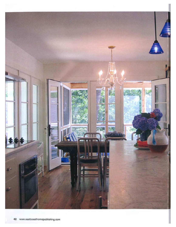